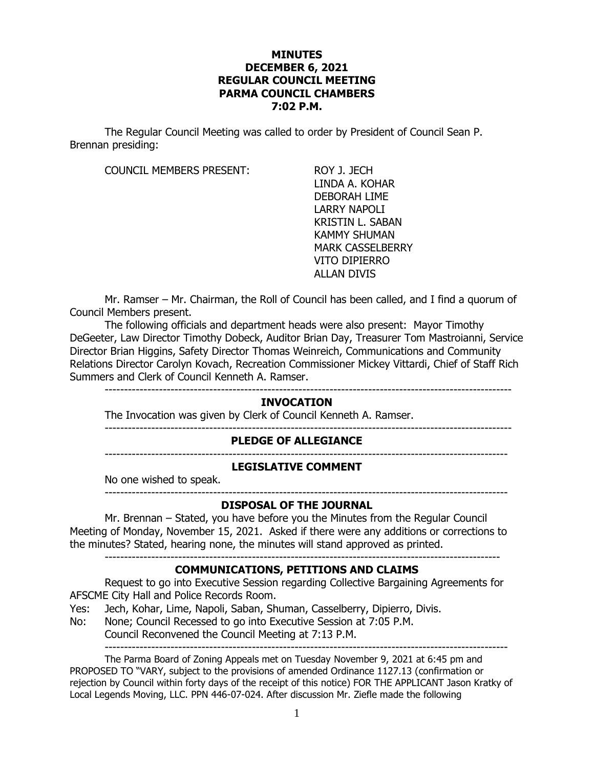### **MINUTES DECEMBER 6, 2021 REGULAR COUNCIL MEETING PARMA COUNCIL CHAMBERS 7:02 P.M.**

The Regular Council Meeting was called to order by President of Council Sean P. Brennan presiding:

COUNCIL MEMBERS PRESENT: ROY J. JECH

LINDA A. KOHAR DEBORAH LIME LARRY NAPOLI KRISTIN L. SABAN KAMMY SHUMAN MARK CASSELBERRY VITO DIPIERRO ALLAN DIVIS

Mr. Ramser – Mr. Chairman, the Roll of Council has been called, and I find a quorum of Council Members present.

The following officials and department heads were also present: Mayor Timothy DeGeeter, Law Director Timothy Dobeck, Auditor Brian Day, Treasurer Tom Mastroianni, Service Director Brian Higgins, Safety Director Thomas Weinreich, Communications and Community Relations Director Carolyn Kovach, Recreation Commissioner Mickey Vittardi, Chief of Staff Rich Summers and Clerk of Council Kenneth A. Ramser.

---------------------------------------------------------------------------------------------------------

---------------------------------------------------------------------------------------------------------

### **INVOCATION**

The Invocation was given by Clerk of Council Kenneth A. Ramser.

**PLEDGE OF ALLEGIANCE**

--------------------------------------------------------------------------------------------------------

### **LEGISLATIVE COMMENT**

No one wished to speak. --------------------------------------------------------------------------------------------------------

#### **DISPOSAL OF THE JOURNAL**

Mr. Brennan – Stated, you have before you the Minutes from the Regular Council Meeting of Monday, November 15, 2021. Asked if there were any additions or corrections to the minutes? Stated, hearing none, the minutes will stand approved as printed. ------------------------------------------------------------------------------------------------------

## **COMMUNICATIONS, PETITIONS AND CLAIMS**

Request to go into Executive Session regarding Collective Bargaining Agreements for AFSCME City Hall and Police Records Room.

- Yes: Jech, Kohar, Lime, Napoli, Saban, Shuman, Casselberry, Dipierro, Divis.
- No: None; Council Recessed to go into Executive Session at 7:05 P.M.

Council Reconvened the Council Meeting at 7:13 P.M.

The Parma Board of Zoning Appeals met on Tuesday November 9, 2021 at 6:45 pm and PROPOSED TO "VARY, subject to the provisions of amended Ordinance 1127.13 (confirmation or rejection by Council within forty days of the receipt of this notice) FOR THE APPLICANT Jason Kratky of Local Legends Moving, LLC. PPN 446-07-024. After discussion Mr. Ziefle made the following

--------------------------------------------------------------------------------------------------------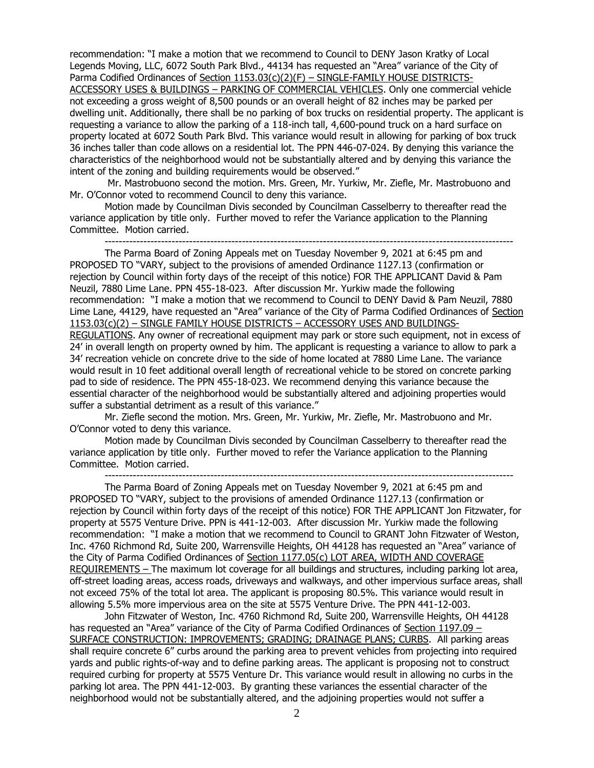recommendation: "I make a motion that we recommend to Council to DENY Jason Kratky of Local Legends Moving, LLC, 6072 South Park Blvd., 44134 has requested an "Area" variance of the City of Parma Codified Ordinances of Section 1153.03(c)(2)(F) - SINGLE-FAMILY HOUSE DISTRICTS-ACCESSORY USES & BUILDINGS – PARKING OF COMMERCIAL VEHICLES. Only one commercial vehicle not exceeding a gross weight of 8,500 pounds or an overall height of 82 inches may be parked per dwelling unit. Additionally, there shall be no parking of box trucks on residential property. The applicant is requesting a variance to allow the parking of a 118-inch tall, 4,600-pound truck on a hard surface on property located at 6072 South Park Blvd. This variance would result in allowing for parking of box truck 36 inches taller than code allows on a residential lot. The PPN 446-07-024. By denying this variance the characteristics of the neighborhood would not be substantially altered and by denying this variance the intent of the zoning and building requirements would be observed."

Mr. Mastrobuono second the motion. Mrs. Green, Mr. Yurkiw, Mr. Ziefle, Mr. Mastrobuono and Mr. O'Connor voted to recommend Council to deny this variance.

Motion made by Councilman Divis seconded by Councilman Casselberry to thereafter read the variance application by title only. Further moved to refer the Variance application to the Planning Committee. Motion carried.

--------------------------------------------------------------------------------------------------------------------

The Parma Board of Zoning Appeals met on Tuesday November 9, 2021 at 6:45 pm and PROPOSED TO "VARY, subject to the provisions of amended Ordinance 1127.13 (confirmation or rejection by Council within forty days of the receipt of this notice) FOR THE APPLICANT David & Pam Neuzil, 7880 Lime Lane. PPN 455-18-023. After discussion Mr. Yurkiw made the following recommendation: "I make a motion that we recommend to Council to DENY David & Pam Neuzil, 7880 Lime Lane, 44129, have requested an "Area" variance of the City of Parma Codified Ordinances of Section 1153.03(c)(2) – SINGLE FAMILY HOUSE DISTRICTS – ACCESSORY USES AND BUILDINGS-

REGULATIONS. Any owner of recreational equipment may park or store such equipment, not in excess of 24' in overall length on property owned by him. The applicant is requesting a variance to allow to park a 34' recreation vehicle on concrete drive to the side of home located at 7880 Lime Lane. The variance would result in 10 feet additional overall length of recreational vehicle to be stored on concrete parking pad to side of residence. The PPN 455-18-023. We recommend denying this variance because the essential character of the neighborhood would be substantially altered and adjoining properties would suffer a substantial detriment as a result of this variance."

Mr. Ziefle second the motion. Mrs. Green, Mr. Yurkiw, Mr. Ziefle, Mr. Mastrobuono and Mr. O'Connor voted to deny this variance.

Motion made by Councilman Divis seconded by Councilman Casselberry to thereafter read the variance application by title only. Further moved to refer the Variance application to the Planning Committee. Motion carried.

--------------------------------------------------------------------------------------------------------------------

The Parma Board of Zoning Appeals met on Tuesday November 9, 2021 at 6:45 pm and PROPOSED TO "VARY, subject to the provisions of amended Ordinance 1127.13 (confirmation or rejection by Council within forty days of the receipt of this notice) FOR THE APPLICANT Jon Fitzwater, for property at 5575 Venture Drive. PPN is 441-12-003. After discussion Mr. Yurkiw made the following recommendation: "I make a motion that we recommend to Council to GRANT John Fitzwater of Weston, Inc. 4760 Richmond Rd, Suite 200, Warrensville Heights, OH 44128 has requested an "Area" variance of the City of Parma Codified Ordinances of Section 1177.05(c) LOT AREA, WIDTH AND COVERAGE REQUIREMENTS – The maximum lot coverage for all buildings and structures, including parking lot area, off-street loading areas, access roads, driveways and walkways, and other impervious surface areas, shall not exceed 75% of the total lot area. The applicant is proposing 80.5%. This variance would result in allowing 5.5% more impervious area on the site at 5575 Venture Drive. The PPN 441-12-003.

John Fitzwater of Weston, Inc. 4760 Richmond Rd, Suite 200, Warrensville Heights, OH 44128 has requested an "Area" variance of the City of Parma Codified Ordinances of Section 1197.09 – SURFACE CONSTRUCTION: IMPROVEMENTS; GRADING; DRAINAGE PLANS; CURBS. All parking areas shall require concrete 6" curbs around the parking area to prevent vehicles from projecting into required yards and public rights-of-way and to define parking areas. The applicant is proposing not to construct required curbing for property at 5575 Venture Dr. This variance would result in allowing no curbs in the parking lot area. The PPN 441-12-003. By granting these variances the essential character of the neighborhood would not be substantially altered, and the adjoining properties would not suffer a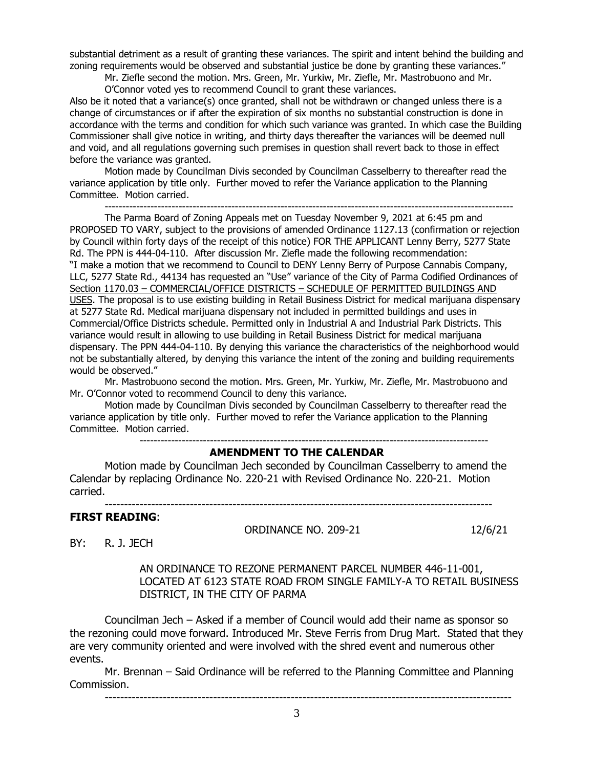substantial detriment as a result of granting these variances. The spirit and intent behind the building and zoning requirements would be observed and substantial justice be done by granting these variances."

Mr. Ziefle second the motion. Mrs. Green, Mr. Yurkiw, Mr. Ziefle, Mr. Mastrobuono and Mr.

O'Connor voted yes to recommend Council to grant these variances.

Also be it noted that a variance(s) once granted, shall not be withdrawn or changed unless there is a change of circumstances or if after the expiration of six months no substantial construction is done in accordance with the terms and condition for which such variance was granted. In which case the Building Commissioner shall give notice in writing, and thirty days thereafter the variances will be deemed null and void, and all regulations governing such premises in question shall revert back to those in effect before the variance was granted.

Motion made by Councilman Divis seconded by Councilman Casselberry to thereafter read the variance application by title only. Further moved to refer the Variance application to the Planning Committee. Motion carried.

--------------------------------------------------------------------------------------------------------------------

The Parma Board of Zoning Appeals met on Tuesday November 9, 2021 at 6:45 pm and PROPOSED TO VARY, subject to the provisions of amended Ordinance 1127.13 (confirmation or rejection by Council within forty days of the receipt of this notice) FOR THE APPLICANT Lenny Berry, 5277 State Rd. The PPN is 444-04-110. After discussion Mr. Ziefle made the following recommendation: "I make a motion that we recommend to Council to DENY Lenny Berry of Purpose Cannabis Company, LLC, 5277 State Rd., 44134 has requested an "Use" variance of the City of Parma Codified Ordinances of Section 1170.03 – COMMERCIAL/OFFICE DISTRICTS – SCHEDULE OF PERMITTED BUILDINGS AND USES. The proposal is to use existing building in Retail Business District for medical marijuana dispensary at 5277 State Rd. Medical marijuana dispensary not included in permitted buildings and uses in Commercial/Office Districts schedule. Permitted only in Industrial A and Industrial Park Districts. This variance would result in allowing to use building in Retail Business District for medical marijuana dispensary. The PPN 444-04-110. By denying this variance the characteristics of the neighborhood would not be substantially altered, by denying this variance the intent of the zoning and building requirements would be observed."

Mr. Mastrobuono second the motion. Mrs. Green, Mr. Yurkiw, Mr. Ziefle, Mr. Mastrobuono and Mr. O'Connor voted to recommend Council to deny this variance.

Motion made by Councilman Divis seconded by Councilman Casselberry to thereafter read the variance application by title only. Further moved to refer the Variance application to the Planning Committee. Motion carried.

## ---------------------------------------------------------------------------------------------------

## **AMENDMENT TO THE CALENDAR**

Motion made by Councilman Jech seconded by Councilman Casselberry to amend the Calendar by replacing Ordinance No. 220-21 with Revised Ordinance No. 220-21. Motion carried.

----------------------------------------------------------------------------------------------------

#### **FIRST READING**:

ORDINANCE NO. 209-21 12/6/21

BY: R. J. JECH

AN ORDINANCE TO REZONE PERMANENT PARCEL NUMBER 446-11-001, LOCATED AT 6123 STATE ROAD FROM SINGLE FAMILY-A TO RETAIL BUSINESS DISTRICT, IN THE CITY OF PARMA

Councilman Jech – Asked if a member of Council would add their name as sponsor so the rezoning could move forward. Introduced Mr. Steve Ferris from Drug Mart. Stated that they are very community oriented and were involved with the shred event and numerous other events.

Mr. Brennan – Said Ordinance will be referred to the Planning Committee and Planning Commission.

---------------------------------------------------------------------------------------------------------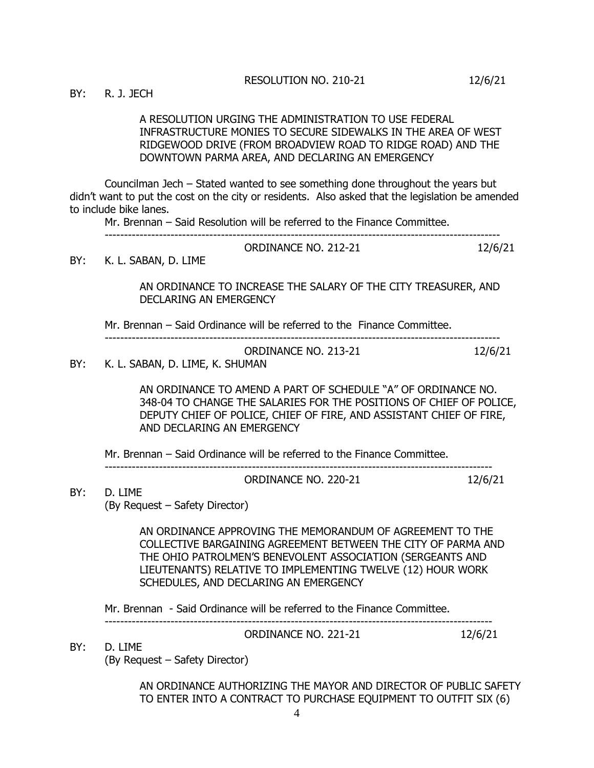BY: R. J. JECH

A RESOLUTION URGING THE ADMINISTRATION TO USE FEDERAL INFRASTRUCTURE MONIES TO SECURE SIDEWALKS IN THE AREA OF WEST RIDGEWOOD DRIVE (FROM BROADVIEW ROAD TO RIDGE ROAD) AND THE DOWNTOWN PARMA AREA, AND DECLARING AN EMERGENCY

Councilman Jech – Stated wanted to see something done throughout the years but didn't want to put the cost on the city or residents. Also asked that the legislation be amended to include bike lanes.

Mr. Brennan – Said Resolution will be referred to the Finance Committee.

| - - - |  |
|-------|--|

BY: K. L. SABAN, D. LIME

AN ORDINANCE TO INCREASE THE SALARY OF THE CITY TREASURER, AND DECLARING AN EMERGENCY

Mr. Brennan – Said Ordinance will be referred to the Finance Committee.

| ORDINANCE NO. 213-21       | 12/6/21 |
|----------------------------|---------|
| K I SARAN D LIME K SHIIMAN |         |

------------------------------------------------------------------------------------------------------

BY: K. L. SABAN, D. LIME, K. SHUMAN

AN ORDINANCE TO AMEND A PART OF SCHEDULE "A" OF ORDINANCE NO. 348-04 TO CHANGE THE SALARIES FOR THE POSITIONS OF CHIEF OF POLICE, DEPUTY CHIEF OF POLICE, CHIEF OF FIRE, AND ASSISTANT CHIEF OF FIRE, AND DECLARING AN EMERGENCY

Mr. Brennan – Said Ordinance will be referred to the Finance Committee.

----------------------------------------------------------------------------------------------------

ORDINANCE NO. 220-21 12/6/21

BY: D. LIME (By Request – Safety Director)

> AN ORDINANCE APPROVING THE MEMORANDUM OF AGREEMENT TO THE COLLECTIVE BARGAINING AGREEMENT BETWEEN THE CITY OF PARMA AND THE OHIO PATROLMEN'S BENEVOLENT ASSOCIATION (SERGEANTS AND LIEUTENANTS) RELATIVE TO IMPLEMENTING TWELVE (12) HOUR WORK SCHEDULES, AND DECLARING AN EMERGENCY

Mr. Brennan - Said Ordinance will be referred to the Finance Committee.

ORDINANCE NO. 221-21 12/6/21

BY: D. LIME

(By Request – Safety Director)

AN ORDINANCE AUTHORIZING THE MAYOR AND DIRECTOR OF PUBLIC SAFETY TO ENTER INTO A CONTRACT TO PURCHASE EQUIPMENT TO OUTFIT SIX (6)

----------------------------------------------------------------------------------------------------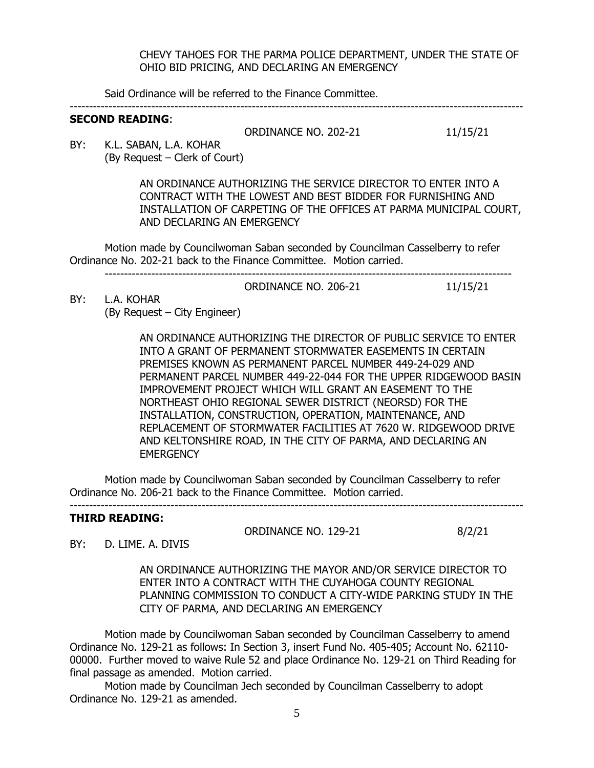#### CHEVY TAHOES FOR THE PARMA POLICE DEPARTMENT, UNDER THE STATE OF OHIO BID PRICING, AND DECLARING AN EMERGENCY

Said Ordinance will be referred to the Finance Committee.

---------------------------------------------------------------------------------------------------------------------

## **SECOND READING**:

ORDINANCE NO. 202-21 11/15/21

BY: K.L. SABAN, L.A. KOHAR (By Request – Clerk of Court)

> AN ORDINANCE AUTHORIZING THE SERVICE DIRECTOR TO ENTER INTO A CONTRACT WITH THE LOWEST AND BEST BIDDER FOR FURNISHING AND INSTALLATION OF CARPETING OF THE OFFICES AT PARMA MUNICIPAL COURT, AND DECLARING AN EMERGENCY

Motion made by Councilwoman Saban seconded by Councilman Casselberry to refer Ordinance No. 202-21 back to the Finance Committee. Motion carried. ---------------------------------------------------------------------------------------------------------

ORDINANCE NO. 206-21 11/15/21

BY: L.A. KOHAR (By Request – City Engineer)

> AN ORDINANCE AUTHORIZING THE DIRECTOR OF PUBLIC SERVICE TO ENTER INTO A GRANT OF PERMANENT STORMWATER EASEMENTS IN CERTAIN PREMISES KNOWN AS PERMANENT PARCEL NUMBER 449-24-029 AND PERMANENT PARCEL NUMBER 449-22-044 FOR THE UPPER RIDGEWOOD BASIN IMPROVEMENT PROJECT WHICH WILL GRANT AN EASEMENT TO THE NORTHEAST OHIO REGIONAL SEWER DISTRICT (NEORSD) FOR THE INSTALLATION, CONSTRUCTION, OPERATION, MAINTENANCE, AND REPLACEMENT OF STORMWATER FACILITIES AT 7620 W. RIDGEWOOD DRIVE AND KELTONSHIRE ROAD, IN THE CITY OF PARMA, AND DECLARING AN **EMERGENCY**

Motion made by Councilwoman Saban seconded by Councilman Casselberry to refer Ordinance No. 206-21 back to the Finance Committee. Motion carried.

---------------------------------------------------------------------------------------------------------------------

#### **THIRD READING:**

ORDINANCE NO. 129-21 8/2/21

BY: D. LIME. A. DIVIS

AN ORDINANCE AUTHORIZING THE MAYOR AND/OR SERVICE DIRECTOR TO ENTER INTO A CONTRACT WITH THE CUYAHOGA COUNTY REGIONAL PLANNING COMMISSION TO CONDUCT A CITY-WIDE PARKING STUDY IN THE CITY OF PARMA, AND DECLARING AN EMERGENCY

Motion made by Councilwoman Saban seconded by Councilman Casselberry to amend Ordinance No. 129-21 as follows: In Section 3, insert Fund No. 405-405; Account No. 62110- 00000. Further moved to waive Rule 52 and place Ordinance No. 129-21 on Third Reading for final passage as amended. Motion carried.

Motion made by Councilman Jech seconded by Councilman Casselberry to adopt Ordinance No. 129-21 as amended.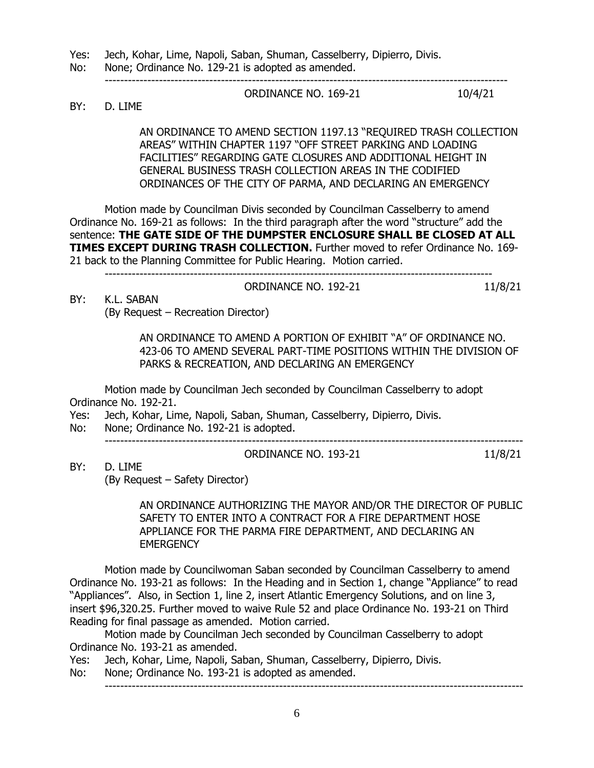Yes: Jech, Kohar, Lime, Napoli, Saban, Shuman, Casselberry, Dipierro, Divis.

No: None; Ordinance No. 129-21 is adopted as amended. --------------------------------------------------------------------------------------------------------

ORDINANCE NO. 169-21 10/4/21

BY: D. LIME

AN ORDINANCE TO AMEND SECTION 1197.13 "REQUIRED TRASH COLLECTION AREAS" WITHIN CHAPTER 1197 "OFF STREET PARKING AND LOADING FACILITIES" REGARDING GATE CLOSURES AND ADDITIONAL HEIGHT IN GENERAL BUSINESS TRASH COLLECTION AREAS IN THE CODIFIED ORDINANCES OF THE CITY OF PARMA, AND DECLARING AN EMERGENCY

Motion made by Councilman Divis seconded by Councilman Casselberry to amend Ordinance No. 169-21 as follows: In the third paragraph after the word "structure" add the sentence: **THE GATE SIDE OF THE DUMPSTER ENCLOSURE SHALL BE CLOSED AT ALL TIMES EXCEPT DURING TRASH COLLECTION.** Further moved to refer Ordinance No. 169-21 back to the Planning Committee for Public Hearing. Motion carried.

|        |              | ORDINANCE NO. 192-21 |  |  |  |
|--------|--------------|----------------------|--|--|--|
| $\sim$ | $\mathbf{r}$ |                      |  |  |  |

BY: K.L. SABAN (By Request – Recreation Director)

> AN ORDINANCE TO AMEND A PORTION OF EXHIBIT "A" OF ORDINANCE NO. 423-06 TO AMEND SEVERAL PART-TIME POSITIONS WITHIN THE DIVISION OF PARKS & RECREATION, AND DECLARING AN EMERGENCY

Motion made by Councilman Jech seconded by Councilman Casselberry to adopt Ordinance No. 192-21.

Yes: Jech, Kohar, Lime, Napoli, Saban, Shuman, Casselberry, Dipierro, Divis.

No: None; Ordinance No. 192-21 is adopted.

------------------------------------------------------------------------------------------------------------

BY: D. LIME

(By Request – Safety Director)

AN ORDINANCE AUTHORIZING THE MAYOR AND/OR THE DIRECTOR OF PUBLIC SAFETY TO ENTER INTO A CONTRACT FOR A FIRE DEPARTMENT HOSE APPLIANCE FOR THE PARMA FIRE DEPARTMENT, AND DECLARING AN **EMERGENCY** 

ORDINANCE NO. 193-21 11/8/21

Motion made by Councilwoman Saban seconded by Councilman Casselberry to amend Ordinance No. 193-21 as follows: In the Heading and in Section 1, change "Appliance" to read "Appliances". Also, in Section 1, line 2, insert Atlantic Emergency Solutions, and on line 3, insert \$96,320.25. Further moved to waive Rule 52 and place Ordinance No. 193-21 on Third Reading for final passage as amended. Motion carried.

Motion made by Councilman Jech seconded by Councilman Casselberry to adopt Ordinance No. 193-21 as amended.

Yes: Jech, Kohar, Lime, Napoli, Saban, Shuman, Casselberry, Dipierro, Divis.

No: None; Ordinance No. 193-21 is adopted as amended.

------------------------------------------------------------------------------------------------------------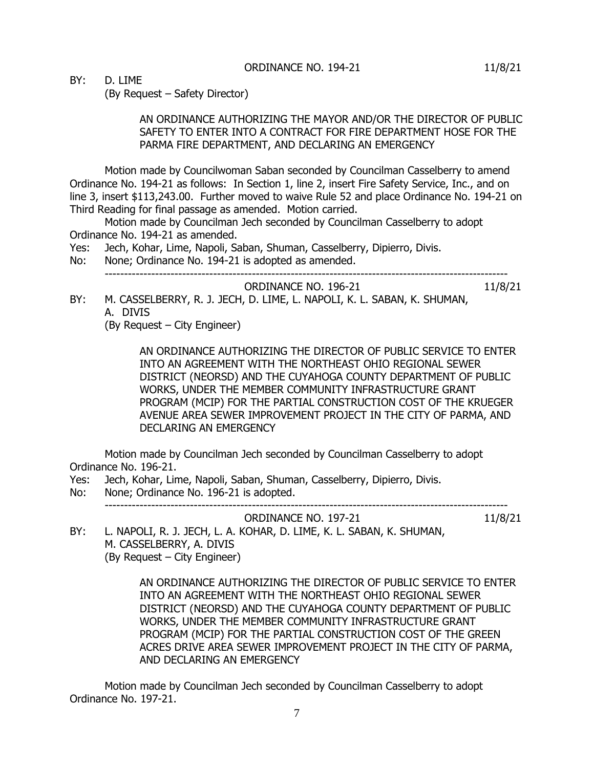BY: D. LIME

(By Request – Safety Director)

### AN ORDINANCE AUTHORIZING THE MAYOR AND/OR THE DIRECTOR OF PUBLIC SAFETY TO ENTER INTO A CONTRACT FOR FIRE DEPARTMENT HOSE FOR THE PARMA FIRE DEPARTMENT, AND DECLARING AN EMERGENCY

Motion made by Councilwoman Saban seconded by Councilman Casselberry to amend Ordinance No. 194-21 as follows: In Section 1, line 2, insert Fire Safety Service, Inc., and on line 3, insert \$113,243.00. Further moved to waive Rule 52 and place Ordinance No. 194-21 on Third Reading for final passage as amended. Motion carried.

Motion made by Councilman Jech seconded by Councilman Casselberry to adopt Ordinance No. 194-21 as amended.

Yes: Jech, Kohar, Lime, Napoli, Saban, Shuman, Casselberry, Dipierro, Divis.

No: None; Ordinance No. 194-21 is adopted as amended. --------------------------------------------------------------------------------------------------------

ORDINANCE NO. 196-21 11/8/21

BY: M. CASSELBERRY, R. J. JECH, D. LIME, L. NAPOLI, K. L. SABAN, K. SHUMAN, A. DIVIS

(By Request – City Engineer)

AN ORDINANCE AUTHORIZING THE DIRECTOR OF PUBLIC SERVICE TO ENTER INTO AN AGREEMENT WITH THE NORTHEAST OHIO REGIONAL SEWER DISTRICT (NEORSD) AND THE CUYAHOGA COUNTY DEPARTMENT OF PUBLIC WORKS, UNDER THE MEMBER COMMUNITY INFRASTRUCTURE GRANT PROGRAM (MCIP) FOR THE PARTIAL CONSTRUCTION COST OF THE KRUEGER AVENUE AREA SEWER IMPROVEMENT PROJECT IN THE CITY OF PARMA, AND DECLARING AN EMERGENCY

Motion made by Councilman Jech seconded by Councilman Casselberry to adopt Ordinance No. 196-21.

Yes: Jech, Kohar, Lime, Napoli, Saban, Shuman, Casselberry, Dipierro, Divis.

No: None; Ordinance No. 196-21 is adopted. --------------------------------------------------------------------------------------------------------

ORDINANCE NO. 197-21 11/8/21

BY: L. NAPOLI, R. J. JECH, L. A. KOHAR, D. LIME, K. L. SABAN, K. SHUMAN, M. CASSELBERRY, A. DIVIS (By Request – City Engineer)

> AN ORDINANCE AUTHORIZING THE DIRECTOR OF PUBLIC SERVICE TO ENTER INTO AN AGREEMENT WITH THE NORTHEAST OHIO REGIONAL SEWER DISTRICT (NEORSD) AND THE CUYAHOGA COUNTY DEPARTMENT OF PUBLIC WORKS, UNDER THE MEMBER COMMUNITY INFRASTRUCTURE GRANT PROGRAM (MCIP) FOR THE PARTIAL CONSTRUCTION COST OF THE GREEN ACRES DRIVE AREA SEWER IMPROVEMENT PROJECT IN THE CITY OF PARMA, AND DECLARING AN EMERGENCY

Motion made by Councilman Jech seconded by Councilman Casselberry to adopt Ordinance No. 197-21.

7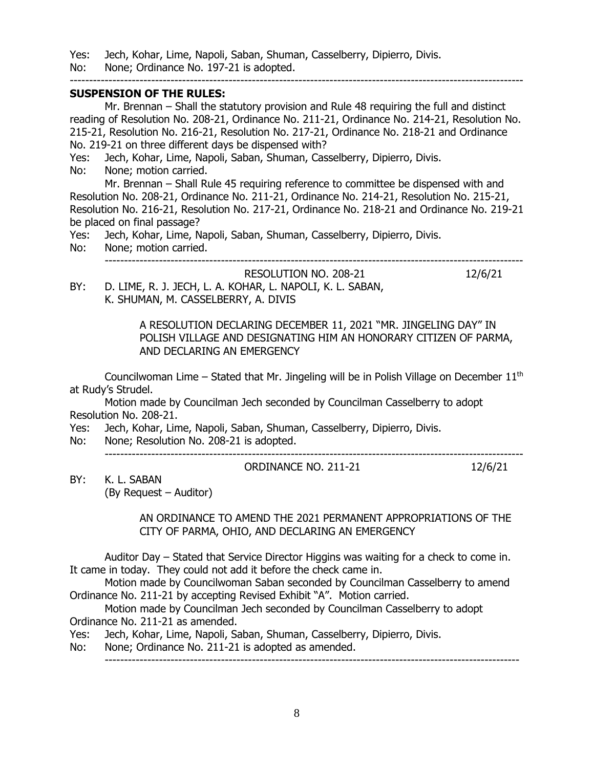Yes: Jech, Kohar, Lime, Napoli, Saban, Shuman, Casselberry, Dipierro, Divis.

No: None; Ordinance No. 197-21 is adopted.

### **SUSPENSION OF THE RULES:**

Mr. Brennan – Shall the statutory provision and Rule 48 requiring the full and distinct reading of Resolution No. 208-21, Ordinance No. 211-21, Ordinance No. 214-21, Resolution No. 215-21, Resolution No. 216-21, Resolution No. 217-21, Ordinance No. 218-21 and Ordinance No. 219-21 on three different days be dispensed with? Yes: Jech, Kohar, Lime, Napoli, Saban, Shuman, Casselberry, Dipierro, Divis. No: None; motion carried. Mr. Brennan – Shall Rule 45 requiring reference to committee be dispensed with and Resolution No. 208-21, Ordinance No. 211-21, Ordinance No. 214-21, Resolution No. 215-21, Resolution No. 216-21, Resolution No. 217-21, Ordinance No. 218-21 and Ordinance No. 219-21 be placed on final passage? Yes: Jech, Kohar, Lime, Napoli, Saban, Shuman, Casselberry, Dipierro, Divis. No: None; motion carried. ------------------------------------------------------------------------------------------------------------

---------------------------------------------------------------------------------------------------------------------

RESOLUTION NO. 208-21 12/6/21 BY: D. LIME, R. J. JECH, L. A. KOHAR, L. NAPOLI, K. L. SABAN, K. SHUMAN, M. CASSELBERRY, A. DIVIS

> A RESOLUTION DECLARING DECEMBER 11, 2021 "MR. JINGELING DAY" IN POLISH VILLAGE AND DESIGNATING HIM AN HONORARY CITIZEN OF PARMA, AND DECLARING AN EMERGENCY

Councilwoman Lime – Stated that Mr. Jingeling will be in Polish Village on December  $11<sup>th</sup>$ at Rudy's Strudel.

Motion made by Councilman Jech seconded by Councilman Casselberry to adopt Resolution No. 208-21.

Yes: Jech, Kohar, Lime, Napoli, Saban, Shuman, Casselberry, Dipierro, Divis.

No: None; Resolution No. 208-21 is adopted.

------------------------------------------------------------------------------------------------------------

BY: K. L. SABAN (By Request – Auditor)

AN ORDINANCE TO AMEND THE 2021 PERMANENT APPROPRIATIONS OF THE

ORDINANCE NO. 211-21 12/6/21

CITY OF PARMA, OHIO, AND DECLARING AN EMERGENCY

Auditor Day – Stated that Service Director Higgins was waiting for a check to come in. It came in today. They could not add it before the check came in.

Motion made by Councilwoman Saban seconded by Councilman Casselberry to amend Ordinance No. 211-21 by accepting Revised Exhibit "A". Motion carried.

Motion made by Councilman Jech seconded by Councilman Casselberry to adopt Ordinance No. 211-21 as amended.

Yes: Jech, Kohar, Lime, Napoli, Saban, Shuman, Casselberry, Dipierro, Divis.

No: None; Ordinance No. 211-21 is adopted as amended.

-----------------------------------------------------------------------------------------------------------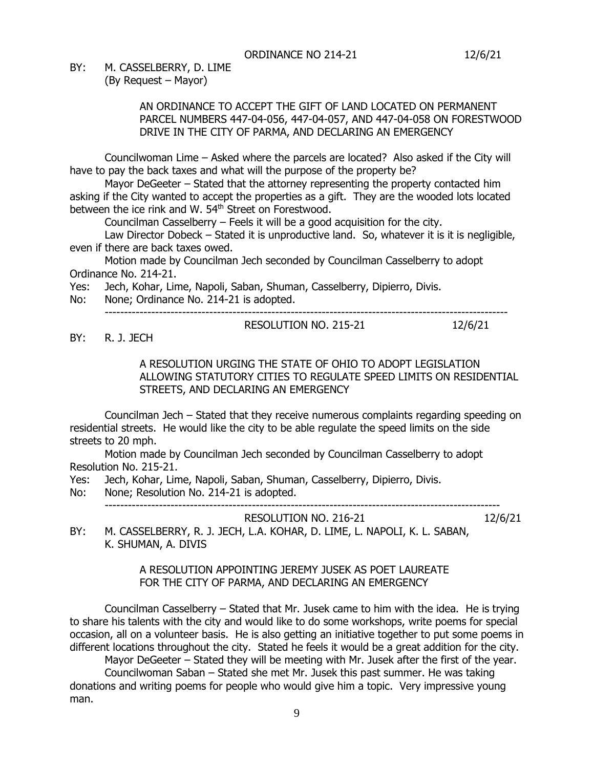BY: M. CASSELBERRY, D. LIME (By Request – Mayor)

### AN ORDINANCE TO ACCEPT THE GIFT OF LAND LOCATED ON PERMANENT PARCEL NUMBERS 447-04-056, 447-04-057, AND 447-04-058 ON FORESTWOOD DRIVE IN THE CITY OF PARMA, AND DECLARING AN EMERGENCY

Councilwoman Lime – Asked where the parcels are located? Also asked if the City will have to pay the back taxes and what will the purpose of the property be?

Mayor DeGeeter – Stated that the attorney representing the property contacted him asking if the City wanted to accept the properties as a gift. They are the wooded lots located between the ice rink and W. 54<sup>th</sup> Street on Forestwood.

Councilman Casselberry – Feels it will be a good acquisition for the city.

Law Director Dobeck - Stated it is unproductive land. So, whatever it is it is negligible, even if there are back taxes owed.

Motion made by Councilman Jech seconded by Councilman Casselberry to adopt Ordinance No. 214-21.

Yes: Jech, Kohar, Lime, Napoli, Saban, Shuman, Casselberry, Dipierro, Divis.

No: None; Ordinance No. 214-21 is adopted.

--------------------------------------------------------------------------------------------------------

BY: R. J. JECH

A RESOLUTION URGING THE STATE OF OHIO TO ADOPT LEGISLATION ALLOWING STATUTORY CITIES TO REGULATE SPEED LIMITS ON RESIDENTIAL STREETS, AND DECLARING AN EMERGENCY

RESOLUTION NO. 215-21 12/6/21

Councilman Jech – Stated that they receive numerous complaints regarding speeding on residential streets. He would like the city to be able regulate the speed limits on the side streets to 20 mph.

Motion made by Councilman Jech seconded by Councilman Casselberry to adopt Resolution No. 215-21.

Yes: Jech, Kohar, Lime, Napoli, Saban, Shuman, Casselberry, Dipierro, Divis.

No: None; Resolution No. 214-21 is adopted.

------------------------------------------------------------------------------------------------------

RESOLUTION NO. 216-21 12/6/21

BY: M. CASSELBERRY, R. J. JECH, L.A. KOHAR, D. LIME, L. NAPOLI, K. L. SABAN, K. SHUMAN, A. DIVIS

## A RESOLUTION APPOINTING JEREMY JUSEK AS POET LAUREATE FOR THE CITY OF PARMA, AND DECLARING AN EMERGENCY

Councilman Casselberry – Stated that Mr. Jusek came to him with the idea. He is trying to share his talents with the city and would like to do some workshops, write poems for special occasion, all on a volunteer basis. He is also getting an initiative together to put some poems in different locations throughout the city. Stated he feels it would be a great addition for the city.

Mayor DeGeeter – Stated they will be meeting with Mr. Jusek after the first of the year. Councilwoman Saban – Stated she met Mr. Jusek this past summer. He was taking

donations and writing poems for people who would give him a topic. Very impressive young man.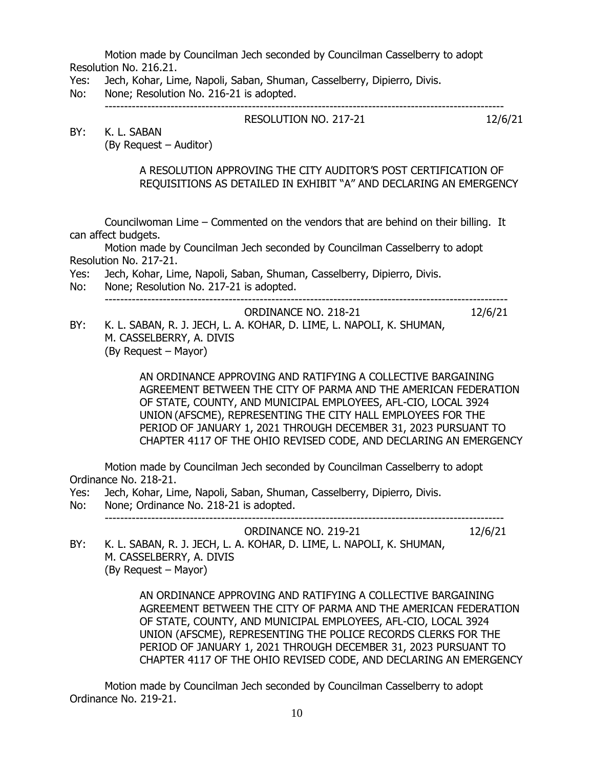Motion made by Councilman Jech seconded by Councilman Casselberry to adopt Resolution No. 216.21.

- Yes: Jech, Kohar, Lime, Napoli, Saban, Shuman, Casselberry, Dipierro, Divis.
- No: None; Resolution No. 216-21 is adopted.

-------------------------------------------------------------------------------------------------------

BY: K. L. SABAN

(By Request – Auditor)

## A RESOLUTION APPROVING THE CITY AUDITOR'S POST CERTIFICATION OF REQUISITIONS AS DETAILED IN EXHIBIT "A" AND DECLARING AN EMERGENCY

RESOLUTION NO. 217-21 12/6/21

Councilwoman Lime – Commented on the vendors that are behind on their billing. It can affect budgets.

Motion made by Councilman Jech seconded by Councilman Casselberry to adopt Resolution No. 217-21.

- Yes: Jech, Kohar, Lime, Napoli, Saban, Shuman, Casselberry, Dipierro, Divis.
- No: None; Resolution No. 217-21 is adopted. --------------------------------------------------------------------------------------------------------
- ORDINANCE NO. 218-21 12/6/21 BY: K. L. SABAN, R. J. JECH, L. A. KOHAR, D. LIME, L. NAPOLI, K. SHUMAN, M. CASSELBERRY, A. DIVIS (By Request – Mayor)

AN ORDINANCE APPROVING AND RATIFYING A COLLECTIVE BARGAINING AGREEMENT BETWEEN THE CITY OF PARMA AND THE AMERICAN FEDERATION OF STATE, COUNTY, AND MUNICIPAL EMPLOYEES, AFL-CIO, LOCAL 3924 UNION (AFSCME), REPRESENTING THE CITY HALL EMPLOYEES FOR THE PERIOD OF JANUARY 1, 2021 THROUGH DECEMBER 31, 2023 PURSUANT TO CHAPTER 4117 OF THE OHIO REVISED CODE, AND DECLARING AN EMERGENCY

Motion made by Councilman Jech seconded by Councilman Casselberry to adopt Ordinance No. 218-21.

Yes: Jech, Kohar, Lime, Napoli, Saban, Shuman, Casselberry, Dipierro, Divis.

No: None; Ordinance No. 218-21 is adopted. -------------------------------------------------------------------------------------------------------

ORDINANCE NO. 219-21 12/6/21

BY: K. L. SABAN, R. J. JECH, L. A. KOHAR, D. LIME, L. NAPOLI, K. SHUMAN, M. CASSELBERRY, A. DIVIS (By Request – Mayor)

> AN ORDINANCE APPROVING AND RATIFYING A COLLECTIVE BARGAINING AGREEMENT BETWEEN THE CITY OF PARMA AND THE AMERICAN FEDERATION OF STATE, COUNTY, AND MUNICIPAL EMPLOYEES, AFL-CIO, LOCAL 3924 UNION (AFSCME), REPRESENTING THE POLICE RECORDS CLERKS FOR THE PERIOD OF JANUARY 1, 2021 THROUGH DECEMBER 31, 2023 PURSUANT TO CHAPTER 4117 OF THE OHIO REVISED CODE, AND DECLARING AN EMERGENCY

Motion made by Councilman Jech seconded by Councilman Casselberry to adopt Ordinance No. 219-21.